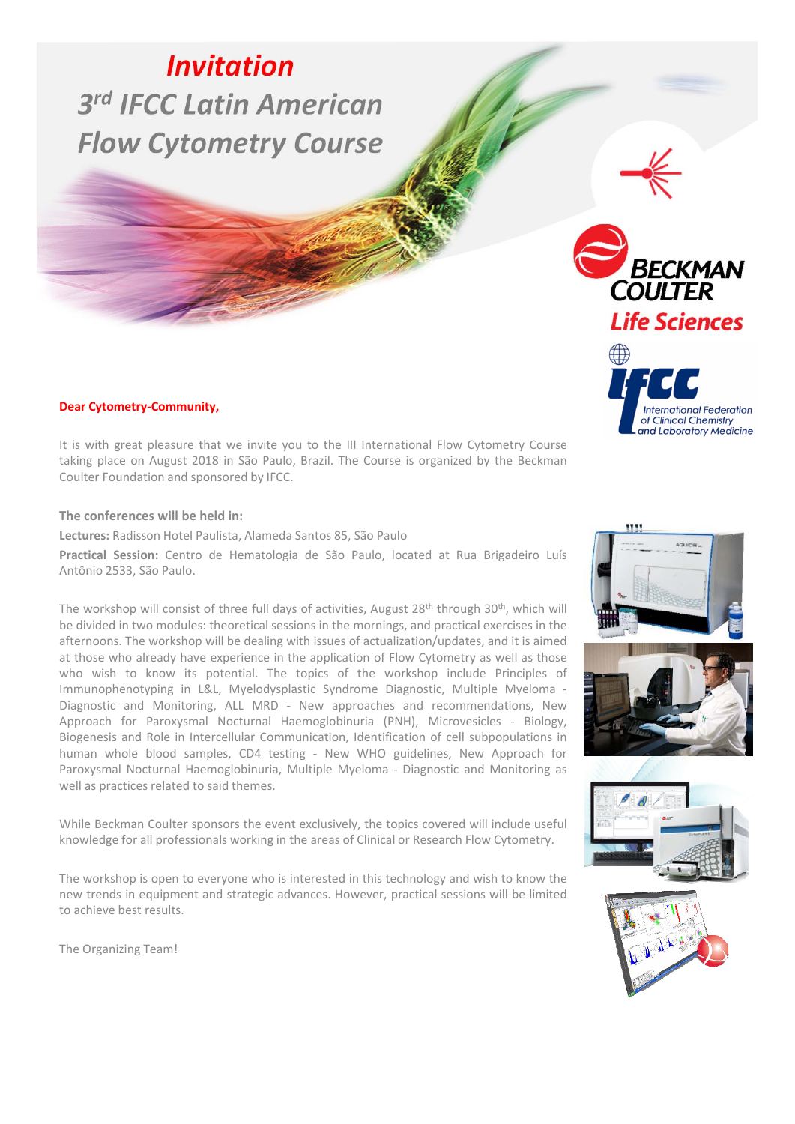# *Invitation 3rd IFCC Latin American Flow Cytometry Course*

#### **Dear Cytometry‐Community,**

It is with great pleasure that we invite you to the III International Flow Cytometry Course taking place on August 2018 in São Paulo, Brazil. The Course is organized by the Beckman Coulter Foundation and sponsored by IFCC.

**The conferences will be held in:**

**Lectures:** Radisson Hotel Paulista, Alameda Santos 85, São Paulo

**Practical Session:** Centro de Hematologia de São Paulo, located at Rua Brigadeiro Luís Antônio 2533, São Paulo.

The workshop will consist of three full days of activities, August 28<sup>th</sup> through 30<sup>th</sup>, which will be divided in two modules: theoretical sessions in the mornings, and practical exercises in the afternoons. The workshop will be dealing with issues of actualization/updates, and it is aimed at those who already have experience in the application of Flow Cytometry as well as those who wish to know its potential. The topics of the workshop include Principles of Immunophenotyping in L&L, Myelodysplastic Syndrome Diagnostic, Multiple Myeloma ‐ Diagnostic and Monitoring, ALL MRD ‐ New approaches and recommendations, New Approach for Paroxysmal Nocturnal Haemoglobinuria (PNH), Microvesicles ‐ Biology, Biogenesis and Role in Intercellular Communication, Identification of cell subpopulations in human whole blood samples, CD4 testing ‐ New WHO guidelines, New Approach for Paroxysmal Nocturnal Haemoglobinuria, Multiple Myeloma ‐ Diagnostic and Monitoring as well as practices related to said themes.

While Beckman Coulter sponsors the event exclusively, the topics covered will include useful knowledge for all professionals working in the areas of Clinical or Research Flow Cytometry.

The workshop is open to everyone who is interested in this technology and wish to know the new trends in equipment and strategic advances. However, practical sessions will be limited to achieve best results.

The Organizing Team!











**BECKMAN FLOW CYTOMETRY INVITATION RECKIN**